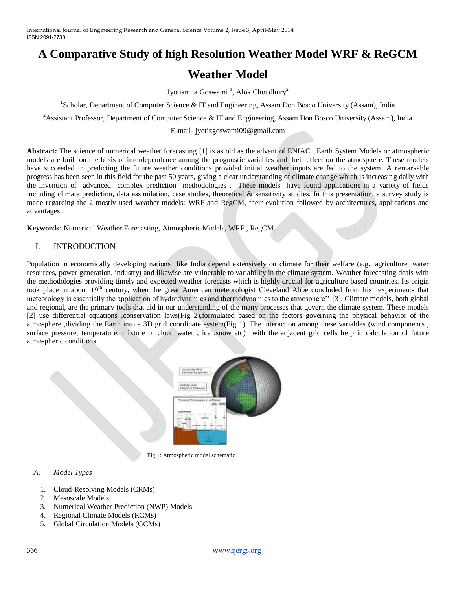# **A Comparative Study of high Resolution Weather Model WRF & ReGCM**

# **Weather Model**

Jyotismita Goswami<sup>1</sup>, Alok Choudhury<sup>2</sup>

<sup>1</sup>Scholar, Department of Computer Science & IT and Engineering, Assam Don Bosco University (Assam), India

<sup>2</sup>Assistant Professor, Department of Computer Science & IT and Engineering, Assam Don Bosco University (Assam), India

E-mail- jyotizgoswami09@gmail.com

**Abstract:** The science of numerical weather forecasting [1] is as old as the advent of ENIAC . Earth System Models or atmospheric models are built on the basis of interdependence among the prognostic variables and their effect on the atmosphere. These models have succeeded in predicting the future weather conditions provided initial weather inputs are fed to the system. A remarkable progress has been seen in this field for the past 50 years, giving a clear understanding of climate change which is increasing daily with the invention of advanced complex prediction methodologies . These models have found applications in a variety of fields including climate prediction, data assimilation, case studies, theoretical & sensitivity studies. In this presentation, a survey study is made regarding the 2 mostly used weather models: WRF and RegCM, their evolution followed by architectures, applications and advantages .

**Keywords***:* Numerical Weather Forecasting, Atmospheric Models, WRF , RegCM.

# I. INTRODUCTION

Population in economically developing nations like India depend extensively on climate for their welfare (e.g., agriculture, water resources, power generation, industry) and likewise are vulnerable to variability in the climate system. Weather forecasting deals with the methodologies providing timely and expected weather forecasts which is highly crucial for agriculture based countries. Its origin took place in about 19<sup>th</sup> century, when the great American meteorologist Cleveland Abbe concluded from his experiments that meteorology is essentially the application of hydrodynamics and thermodynamics to the atmosphere"" [3]. Climate models, both global and regional, are the primary tools that aid in our understanding of the many processes that govern the climate system. These models [2] use differential equations ,conservation laws(Fig 2),formulated based on the factors governing the physical behavior of the atmosphere ,dividing the Earth into a 3D grid coordinate system(Fig 1). The interaction among these variables (wind components , surface pressure, temperature, mixture of cloud water , ice ,snow etc) with the adjacent grid cells help in calculation of future atmospheric conditions.



Fig 1: Atmospheric model schematic

### *A. Model Types*

- 1. Cloud-Resolving Models (CRMs)
- 2. Mesoscale Models
- 3. Numerical Weather Prediction (NWP) Models
- 4. Regional Climate Models (RCMs)
- 5. Global Circulation Models (GCMs)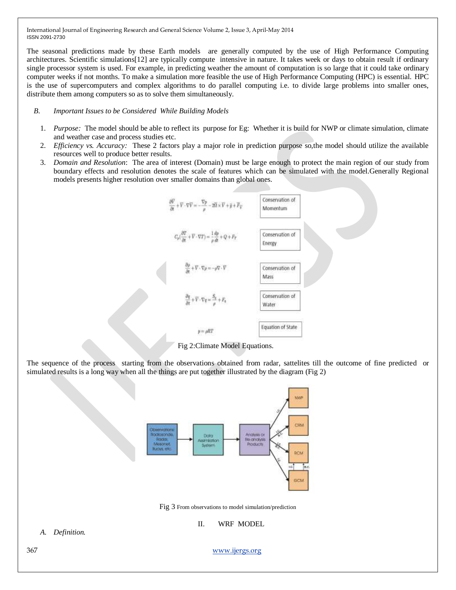The seasonal predictions made by these Earth models are generally computed by the use of High Performance Computing architectures. Scientific simulations[12] are typically compute intensive in nature. It takes week or days to obtain result if ordinary single processor system is used. For example, in predicting weather the amount of computation is so large that it could take ordinary computer weeks if not months. To make a simulation more feasible the use of High Performance Computing (HPC) is essential. HPC is the use of supercomputers and complex algorithms to do parallel computing i.e. to divide large problems into smaller ones, distribute them among computers so as to solve them simultaneously.

#### *B. Important Issues to be Considered While Building Models*

- 1. *Purpose:* The model should be able to reflect its purpose for Eg: Whether it is build for NWP or climate simulation, climate and weather case and process studies etc.
- 2. *Efficiency vs. Accuracy:* These 2 factors play a major role in prediction purpose so,the model should utilize the available resources well to produce better results.
- 3. *Domain and Resolution*: The area of interest (Domain) must be large enough to protect the main region of our study from boundary effects and resolution denotes the scale of features which can be simulated with the model.Generally Regional models presents higher resolution over smaller domains than global ones.



Fig 2:Climate Model Equations.

The sequence of the process starting from the observations obtained from radar, sattelites till the outcome of fine predicted or simulated results is a long way when all the things are put together illustrated by the diagram (Fig 2)



Fig 3 From observations to model simulation/prediction

II. WRF MODEL

*A. Definition.*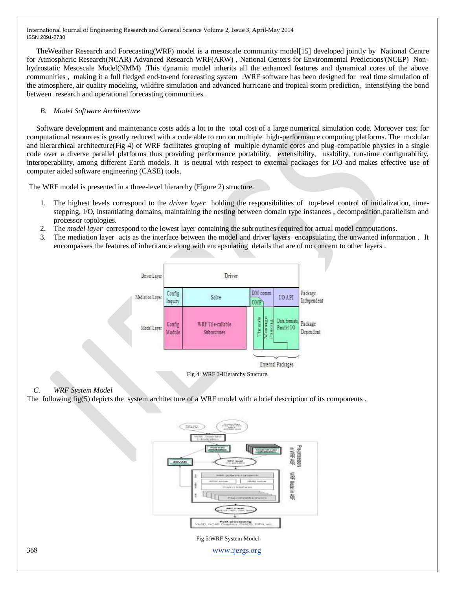TheWeather Research and Forecasting(WRF) model is a mesoscale community model[15] developed jointly by National Centre for Atmospheric Research(NCAR) Advanced Research WRF(ARW) , National Centers for Environmental Predictions'(NCEP) Nonhydrostatic Mesoscale Model(NMM) .This dynamic model inherits all the enhanced features and dynamical cores of the above communities , making it a full fledged end-to-end forecasting system .WRF software has been designed for real time simulation of the atmosphere, air quality modeling, wildfire simulation and advanced hurricane and tropical storm prediction, intensifying the bond between research and operational forecasting communities .

## *B. Model Software Architecture*

 Software development and maintenance costs adds a lot to the total cost of a large numerical simulation code. Moreover cost for computational resources is greatly reduced with a code able to run on multiple high-performance computing platforms. The modular and hierarchical architecture(Fig 4) of WRF facilitates grouping of multiple dynamic cores and plug-compatible physics in a single code over a diverse parallel platforms thus providing performance portability, extensibility, usability, run-time configurability, interoperability, among different Earth models. It is neutral with respect to external packages for I/O and makes effective use of computer aided software engineering (CASE) tools.

The WRF model is presented in a three-level hierarchy (Figure 2) structure.

- 1. The highest levels correspond to the *driver layer* holding the responsibilities of top-level control of initialization, timestepping, I/O, instantiating domains, maintaining the nesting between domain type instances , decomposition,parallelism and processor topologies.
- 2. The *model layer* correspond to the lowest layer containing the subroutines required for actual model computations.
- 3. The mediation layer acts as the interface between the model and driver layers encapsulating the unwanted information . It encompasses the features of inheritance along with encapsulating details that are of no concern to other layers .



Fig 4: WRF 3-Hierarchy Stucrure.

### *C. WRF System Model*

The following fig(5) depicts the system architecture of a WRF model with a brief description of its components .

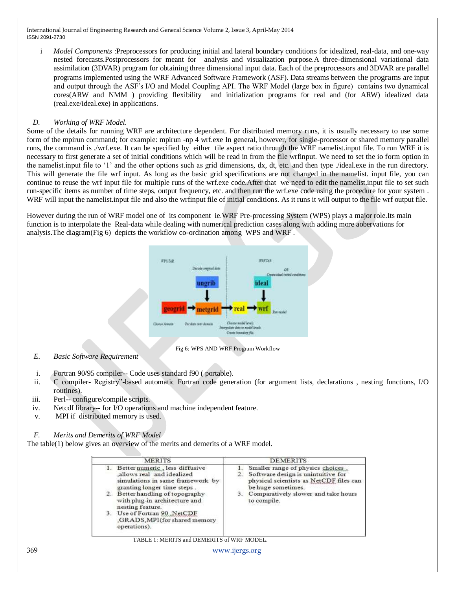i *Model Components* :Preprocessors for producing initial and lateral boundary conditions for idealized, real-data, and one-way nested forecasts.Postprocessors for meant for analysis and visualization purpose.A three-dimensional variational data assimilation (3DVAR) program for obtaining three dimensional input data. Each of the preprocessors and 3DVAR are parallel programs implemented using the WRF Advanced Software Framework (ASF). Data streams between the programs are input and output through the ASF"s I/O and Model Coupling API. The WRF Model (large box in figure) contains two dynamical cores(ARW and NMM ) providing flexibility and initialization programs for real and (for ARW) idealized data (real.exe/ideal.exe) in applications.

## *D. Working of WRF Model.*

Some of the details for running WRF are architecture dependent. For distributed memory runs, it is usually necessary to use some form of the mpirun command; for example: mpirun -np 4 wrf.exe In general, however, for single-processor or shared memory parallel runs, the command is ./wrf.exe. It can be specified by either tile aspect ratio through the WRF namelist.input file. To run WRF it is necessary to first generate a set of initial conditions which will be read in from the file wrfinput. We need to set the io form option in the namelist.input file to "1" and the other options such as grid dimensions, dx, dt, etc. and then type ./ideal.exe in the run directory. This will generate the file wrf input. As long as the basic grid specifications are not changed in the namelist. input file, you can continue to reuse the wrf input file for multiple runs of the wrf.exe code.After that we need to edit the namelist.input file to set such run-specific items as number of time steps, output frequency, etc. and then run the wrf.exe code using the procedure for your system . WRF will input the namelist.input file and also the wrfinput file of initial conditions. As it runs it will output to the file wrf output file.

However during the run of WRF model one of its component ie.WRF Pre-processing System (WPS) plays a major role.Its main function is to interpolate the Real-data while dealing with numerical prediction cases along with adding more aobervations for analysis.The diagram(Fig 6) depicts the workflow co-ordination among WPS and WRF .



Fig 6: WPS AND WRF Program Workflow

- *E. Basic Software Requirement*
- i. Fortran 90/95 compiler-- Code uses standard f90 ( portable).
- ii. C compiler- Registry"-based automatic Fortran code generation (for argument lists, declarations , nesting functions, I/O routines).
- iii. Perl-- configure/compile scripts.
- iv. Netcdf library-- for I/O operations and machine independent feature.
- v. MPI if distributed memory is used.

# *F. Merits and Demerits of WRF Model*

The table(1) below gives an overview of the merits and demerits of a WRF model.

|     | <b>MERITS</b>                                                                                                                                                                                                                                                                                       | <b>DEMERITS</b>                                                                                                                                                                               |  |
|-----|-----------------------------------------------------------------------------------------------------------------------------------------------------------------------------------------------------------------------------------------------------------------------------------------------------|-----------------------------------------------------------------------------------------------------------------------------------------------------------------------------------------------|--|
|     | Better numeric , less diffusive<br>allows real and idealized<br>simulations in same framework by<br>granting longer time steps<br>2. Better handling of topography<br>with plug-in architecture and<br>nesting feature.<br>Use of Fortran 90 NetCDF<br>GRADS MPI (for shared memory<br>operations). | Smaller range of physics choices<br>Software design is unintuitive for<br>physical scientists as NetCDF files can<br>be huge sometimes.<br>Comparatively slower and take hours<br>to compile. |  |
|     | TABLE 1: MERITS and DEMERITS of WRF MODEL.                                                                                                                                                                                                                                                          |                                                                                                                                                                                               |  |
| 369 | www.ijergs.org                                                                                                                                                                                                                                                                                      |                                                                                                                                                                                               |  |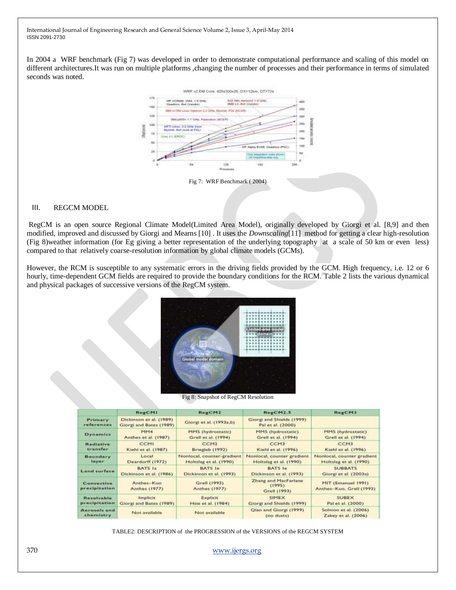In 2004 a WRF benchmark (Fig 7) was developed in order to demonstrate computational performance and scaling of this model on different architectures.It was run on multiple platforms ,changing the number of processes and their performance in terms of simulated seconds was noted.



Fig 7: WRF Benchmark ( 2004)

#### III. REGCM MODEL

RegCM is an open source Regional Climate Model(Limited Area Model), originally developed by Giorgi et al. [8,9] and then modified, improved and discussed by Giorgi and Mearns [10] . It uses the *Downscaling*[11] method for getting a clear high-resolution (Fig 8)weather information (for Eg giving a better representation of the underlying topography at a scale of 50 km or even less) compared to that relatively coarse-resolution information by global climate models (GCMs).

However, the RCM is susceptible to any systematic errors in the driving fields provided by the GCM. High frequency, i.e. 12 or 6 hourly, time-dependent GCM fields are required to provide the boundary conditions for the RCM. Table 2 lists the various dynamical and physical packages of successive versions of the RegCM system.



Fig 8: Snapshot of RegCM Resolution

|                             | RegCM1                                             | RegCM2                                | RegCM2.5                                        | RegCM3                                         |
|-----------------------------|----------------------------------------------------|---------------------------------------|-------------------------------------------------|------------------------------------------------|
| Primary<br>references       | Dickinson et al. (1989)<br>Giorgi and Bates (1989) | Giorgi et al. (1993a,b)               | Giorgi and Shields (1999)<br>Pal et al. (2000). |                                                |
| <b>Dynamics</b>             | MM4                                                | MMS (hydrostatic)                     | MM5 (hydrostatic)                               | MM5 (hydrostatic)                              |
|                             | Anthos et al. (1987)                               | Grell et al. (1994)                   | Grell et al. (1994)                             | Grell et al. (1994)                            |
| <b>Radiative</b>            | <b>CCMI</b>                                        | CCM <sub>2</sub>                      | CCM <sub>3</sub>                                | CCM3                                           |
| transfer                    | Kiehl et al. (1987)                                | Briegleb (1992)                       | Kiehl et al. (1996)                             | Kiehl et al. (1996)                            |
| <b>Boundary</b>             | Local                                              | Nonlocal, counter-gradient            | Nonlocal, counter gradient                      | Nonlocal, counter gradient                     |
| tayer                       | Deardorff (1972)                                   | Holtslag et al. (1990)                | Holtslag et al. (1990)                          | Holtslag et al. (1990)                         |
| Land surface                | BATS Ia                                            | <b>BATS</b> le                        | <b>BATS In</b>                                  | <b>SUBBATS</b>                                 |
|                             | Dickinson et al. (1986)                            | Dickinson et al. (1993)               | Dickinson et al. (1993)                         | Giorgi et al. (2003a)                          |
| Convective<br>precipitation | Anthes-Kuo<br><b>Anthes (1977)</b>                 | Grell (1993).<br><b>Anthes (1977)</b> | Zhang and MacFarlane<br>(1995)<br>Grell (1993)  | MIT (Emanuel 1991)<br>Anthes-Kuo, Grell (1993) |
| Resolvable                  | Implicit                                           | Explicit                              | SIMEX                                           | <b>SUBEX</b>                                   |
| precipitation               | Giorgi and Bates (1989)                            | Hsie et al. (1984)                    | Giorgi and Shields (1999)                       | Pal et al. (2000).                             |
| Aerosols and<br>chemistry   | Not available                                      | Not available                         | Qian and Giorgi (1999).<br>$(no$ dusts)         | Solmon et al. (2006)<br>Zakey et al. (2006)    |

TABLE2: DESCRIPTION of the PROGRESSION of the VERSIONS of the REGCM SYSTEM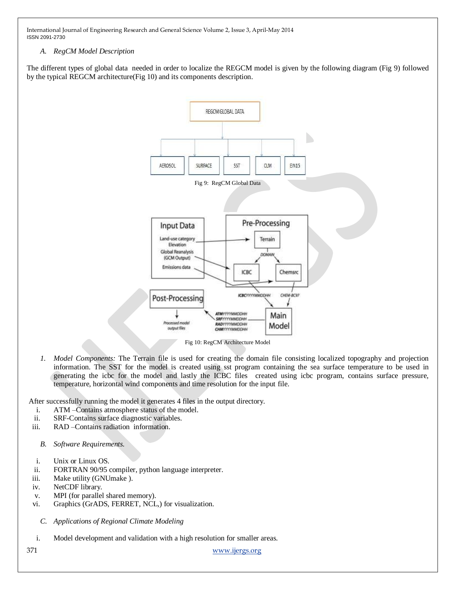## *A. RegCM Model Description*

The different types of global data needed in order to localize the REGCM model is given by the following diagram (Fig 9) followed by the typical REGCM architecture(Fig 10) and its components description.



Fig 10: RegCM Architecture Model

*1. Model Components:* The Terrain file is used for creating the domain file consisting localized topography and projection information. The SST for the model is created using sst program containing the sea surface temperature to be used in generating the icbc for the model and lastly the ICBC files created using icbc program, contains surface pressure, temperature, horizontal wind components and time resolution for the input file.

After successfully running the model it generates 4 files in the output directory.

- i. ATM –Contains atmosphere status of the model.
- ii. SRF-Contains surface diagnostic variables.
- iii. RAD –Contains radiation information.
	- *B. Software Requirements.*
- i. Unix or Linux OS.
- ii. FORTRAN 90/95 compiler, python language interpreter.
- iii. Make utility (GNUmake ).
- iv. NetCDF library.
- v. MPI (for parallel shared memory).
- vi. Graphics (GrADS, FERRET, NCL,) for visualization.
	- *C. Applications of Regional Climate Modeling*
- i. Model development and validation with a high resolution for smaller areas.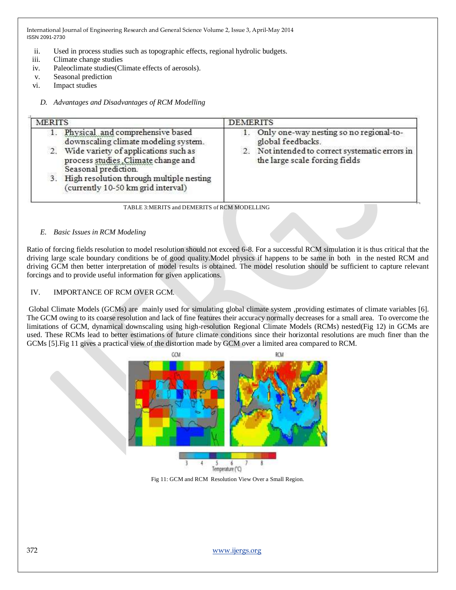- ii. Used in process studies such as topographic effects, regional hydrolic budgets.
- iii. Climate change studies
- iv. Paleoclimate studies(Climate effects of aerosols).
- v. Seasonal prediction
- vi. Impact studies

## *D. Advantages and Disadvantages of RCM Modelling*

| <b>MERITS</b>                                                                                                                                                                                                                                                                 | <b>DEMERITS</b>                                                                                                                                   |
|-------------------------------------------------------------------------------------------------------------------------------------------------------------------------------------------------------------------------------------------------------------------------------|---------------------------------------------------------------------------------------------------------------------------------------------------|
| Physical and comprehensive based<br>1.<br>downscaling climate modeling system.<br>2. Wide variety of applications such as<br>process studies. Climate change and<br>Seasonal prediction.<br>3. High resolution through multiple nesting<br>(currently 10-50 km grid interval) | Only one-way nesting so no regional-to-<br>global feedbacks.<br>2. Not intended to correct systematic errors in<br>the large scale forcing fields |
| TABLE 3:MERITS and DEMERITS of RCM MODELLING                                                                                                                                                                                                                                  |                                                                                                                                                   |

## *E. Basic Issues in RCM Modeling*

Ratio of forcing fields resolution to model resolution should not exceed 6-8. For a successful RCM simulation it is thus critical that the driving large scale boundary conditions be of good quality.Model physics if happens to be same in both in the nested RCM and driving GCM then better interpretation of model results is obtained. The model resolution should be sufficient to capture relevant forcings and to provide useful information for given applications.

## IV. IMPORTANCE OF RCM OVER GCM.

Global Climate Models (GCMs) are mainly used for simulating global climate system ,providing estimates of climate variables [6]. The GCM owing to its coarse resolution and lack of fine features their accuracy normally decreases for a small area. To overcome the limitations of GCM, dynamical downscaling using high-resolution Regional Climate Models (RCMs) nested(Fig 12) in GCMs are used. These RCMs lead to better estimations of future climate conditions since their horizontal resolutions are much finer than the GCMs [5].Fig 11 gives a practical view of the distortion made by GCM over a limited area compared to RCM.



Fig 11: GCM and RCM Resolution View Over a Small Region.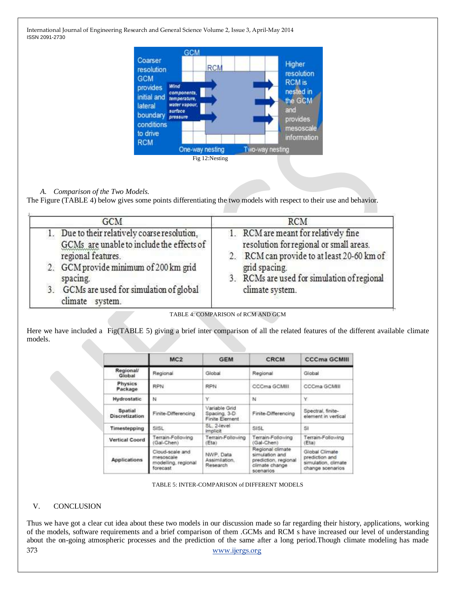

# *A. Comparison of the Two Models.*

The Figure (TABLE 4) below gives some points differentiating the two models with respect to their use and behavior.

| GCM                                                                                                                                                       | RCM                                                                                                                                            |  |
|-----------------------------------------------------------------------------------------------------------------------------------------------------------|------------------------------------------------------------------------------------------------------------------------------------------------|--|
| 1. Due to their relatively coarse resolution,<br>GCMs are unable to include the effects of<br>regional features.<br>2. GCM provide minimum of 200 km grid | 1. RCM are meant for relatively fine<br>resolution for regional or small areas.<br>2. RCM can provide to at least 20-60 km of<br>grid spacing. |  |
| spacing.<br>3. GCMs are used for simulation of global<br>climate<br>system.                                                                               | 3. RCMs are used for simulation of regional<br>climate system.                                                                                 |  |

TABLE 4: COMPARISON of RCM AND GCM

Here we have included a Fig(TABLE 5) giving a brief inter comparison of all the related features of the different available climate models.

|                                  | MC2                                                             | <b>GEM</b>                                      | <b>CRCM</b>                                                                               | <b>CCCma GCMIII</b>                                                         |
|----------------------------------|-----------------------------------------------------------------|-------------------------------------------------|-------------------------------------------------------------------------------------------|-----------------------------------------------------------------------------|
| Regional/<br>Global              | Regional                                                        | Global                                          | Regional                                                                                  | Global                                                                      |
| <b>Physics</b><br>Package        | <b>RPN</b>                                                      | <b>RPN</b>                                      | CCCma GCMIII                                                                              | CCCma GCMIII                                                                |
| Hydrostatic                      | N                                                               | Υ                                               | N                                                                                         | Υ.                                                                          |
| Spatial<br><b>Discretization</b> | Finite-Differencing                                             | Variable Grid<br>Spacing, 3-D<br>Finite Element | Finite-Differencing                                                                       | Spectral, finite-<br>element in vertical                                    |
| Timestepping                     | SISL-                                                           | SL 2-level<br>implicit                          | SISL                                                                                      | Si                                                                          |
| <b>Vertical Coord</b>            | Terrain-Following<br>Gal-Chen)                                  | Terrain-Following<br>(Eta)                      | Terrain-Following<br>(Gal-Chen)                                                           | Terrain-Following<br>(Eta)                                                  |
| <b>Applications</b>              | Cloud-scale and<br>mesoscale<br>modelling, regional<br>forecast | NWP, Data<br>Assimilation.<br>Research          | Regional climate<br>simulation and<br>prediction, regional<br>climate change<br>scenarios | Global Climate<br>prediction and<br>simulation, climate<br>change scenarios |

TABLE 5: INTER-COMPARISON of DIFFERENT MODELS

## V. CONCLUSION

373 [www.ijergs.org](http://www.ijergs.org/) Thus we have got a clear cut idea about these two models in our discussion made so far regarding their history, applications, working of the models, software requirements and a brief comparison of them .GCMs and RCM s have increased our level of understanding about the on-going atmospheric processes and the prediction of the same after a long period.Though climate modeling has made